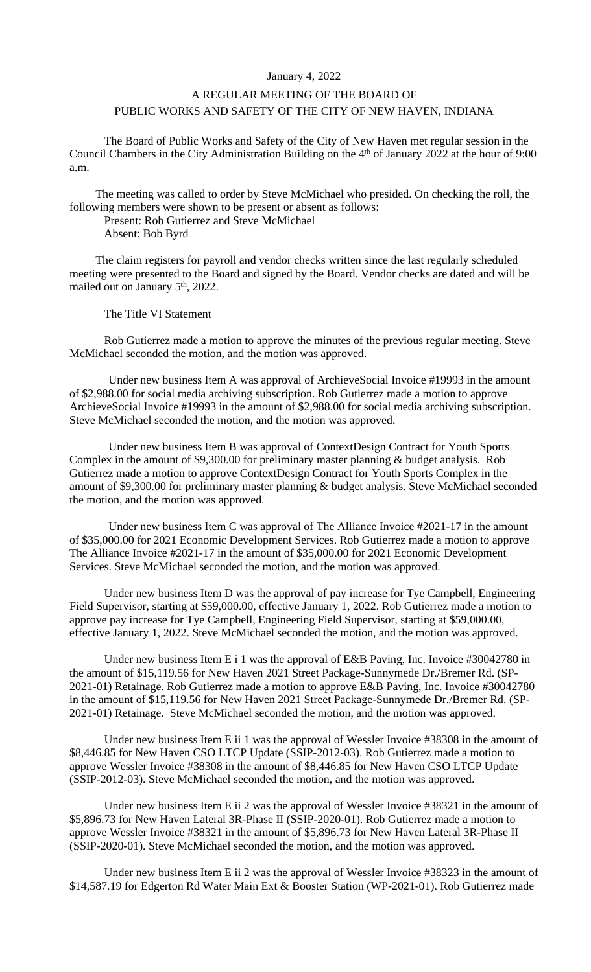## January 4, 2022

## A REGULAR MEETING OF THE BOARD OF PUBLIC WORKS AND SAFETY OF THE CITY OF NEW HAVEN, INDIANA

The Board of Public Works and Safety of the City of New Haven met regular session in the Council Chambers in the City Administration Building on the 4<sup>th</sup> of January 2022 at the hour of 9:00 a.m.

The meeting was called to order by Steve McMichael who presided. On checking the roll, the following members were shown to be present or absent as follows:

Present: Rob Gutierrez and Steve McMichael Absent: Bob Byrd

The claim registers for payroll and vendor checks written since the last regularly scheduled meeting were presented to the Board and signed by the Board. Vendor checks are dated and will be mailed out on January 5<sup>th</sup>, 2022.

The Title VI Statement

Rob Gutierrez made a motion to approve the minutes of the previous regular meeting. Steve McMichael seconded the motion, and the motion was approved.

Under new business Item A was approval of ArchieveSocial Invoice #19993 in the amount of \$2,988.00 for social media archiving subscription. Rob Gutierrez made a motion to approve ArchieveSocial Invoice #19993 in the amount of \$2,988.00 for social media archiving subscription. Steve McMichael seconded the motion, and the motion was approved.

Under new business Item B was approval of ContextDesign Contract for Youth Sports Complex in the amount of \$9,300.00 for preliminary master planning & budget analysis. Rob Gutierrez made a motion to approve ContextDesign Contract for Youth Sports Complex in the amount of \$9,300.00 for preliminary master planning & budget analysis. Steve McMichael seconded the motion, and the motion was approved.

Under new business Item C was approval of The Alliance Invoice #2021-17 in the amount of \$35,000.00 for 2021 Economic Development Services. Rob Gutierrez made a motion to approve The Alliance Invoice #2021-17 in the amount of \$35,000.00 for 2021 Economic Development Services. Steve McMichael seconded the motion, and the motion was approved.

Under new business Item D was the approval of pay increase for Tye Campbell, Engineering Field Supervisor, starting at \$59,000.00, effective January 1, 2022. Rob Gutierrez made a motion to approve pay increase for Tye Campbell, Engineering Field Supervisor, starting at \$59,000.00, effective January 1, 2022. Steve McMichael seconded the motion, and the motion was approved.

Under new business Item E i 1 was the approval of E&B Paving, Inc. Invoice #30042780 in the amount of \$15,119.56 for New Haven 2021 Street Package-Sunnymede Dr./Bremer Rd. (SP-2021-01) Retainage. Rob Gutierrez made a motion to approve E&B Paving, Inc. Invoice #30042780 in the amount of \$15,119.56 for New Haven 2021 Street Package-Sunnymede Dr./Bremer Rd. (SP-2021-01) Retainage. Steve McMichael seconded the motion, and the motion was approved.

Under new business Item E ii 1 was the approval of Wessler Invoice #38308 in the amount of \$8,446.85 for New Haven CSO LTCP Update (SSIP-2012-03). Rob Gutierrez made a motion to approve Wessler Invoice #38308 in the amount of \$8,446.85 for New Haven CSO LTCP Update (SSIP-2012-03). Steve McMichael seconded the motion, and the motion was approved.

Under new business Item E ii 2 was the approval of Wessler Invoice #38321 in the amount of \$5,896.73 for New Haven Lateral 3R-Phase II (SSIP-2020-01). Rob Gutierrez made a motion to approve Wessler Invoice #38321 in the amount of \$5,896.73 for New Haven Lateral 3R-Phase II (SSIP-2020-01). Steve McMichael seconded the motion, and the motion was approved.

Under new business Item E ii 2 was the approval of Wessler Invoice #38323 in the amount of \$14,587.19 for Edgerton Rd Water Main Ext & Booster Station (WP-2021-01). Rob Gutierrez made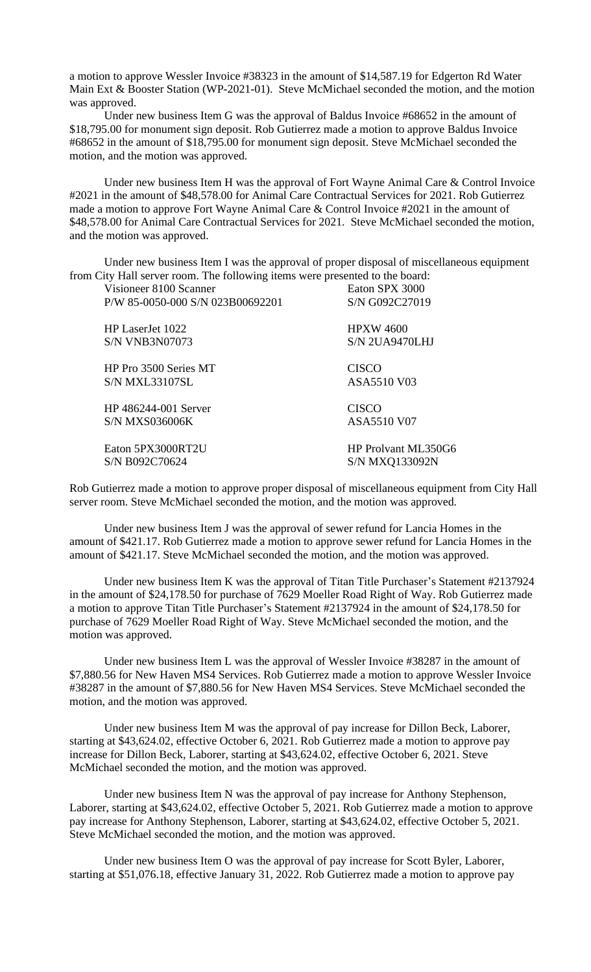a motion to approve Wessler Invoice #38323 in the amount of \$14,587.19 for Edgerton Rd Water Main Ext & Booster Station (WP-2021-01). Steve McMichael seconded the motion, and the motion was approved.

Under new business Item G was the approval of Baldus Invoice #68652 in the amount of \$18,795.00 for monument sign deposit. Rob Gutierrez made a motion to approve Baldus Invoice #68652 in the amount of \$18,795.00 for monument sign deposit. Steve McMichael seconded the motion, and the motion was approved.

Under new business Item H was the approval of Fort Wayne Animal Care & Control Invoice #2021 in the amount of \$48,578.00 for Animal Care Contractual Services for 2021. Rob Gutierrez made a motion to approve Fort Wayne Animal Care & Control Invoice #2021 in the amount of \$48,578.00 for Animal Care Contractual Services for 2021. Steve McMichael seconded the motion, and the motion was approved.

Under new business Item I was the approval of proper disposal of miscellaneous equipment from City Hall server room. The following items were presented to the board:

| Visioneer 8100 Scanner           | Eaton SPX 3000      |
|----------------------------------|---------------------|
| P/W 85-0050-000 S/N 023B00692201 | S/N G092C27019      |
| HP LaserJet 1022                 | <b>HPXW 4600</b>    |
| <b>S/N VNB3N07073</b>            | $S/N$ 2UA9470LHJ    |
| HP Pro 3500 Series MT            | <b>CISCO</b>        |
| S/N MXL33107SL                   | ASA5510 V03         |
| HP 486244-001 Server             | <b>CISCO</b>        |
| S/N MXS036006K                   | ASA5510 V07         |
| Eaton 5PX3000RT2U                | HP Prolvant ML350G6 |
| S/N B092C70624                   | S/N MXQ133092N      |

Rob Gutierrez made a motion to approve proper disposal of miscellaneous equipment from City Hall server room. Steve McMichael seconded the motion, and the motion was approved.

Under new business Item J was the approval of sewer refund for Lancia Homes in the amount of \$421.17. Rob Gutierrez made a motion to approve sewer refund for Lancia Homes in the amount of \$421.17. Steve McMichael seconded the motion, and the motion was approved.

Under new business Item K was the approval of Titan Title Purchaser's Statement #2137924 in the amount of \$24,178.50 for purchase of 7629 Moeller Road Right of Way. Rob Gutierrez made a motion to approve Titan Title Purchaser's Statement #2137924 in the amount of \$24,178.50 for purchase of 7629 Moeller Road Right of Way. Steve McMichael seconded the motion, and the motion was approved.

Under new business Item L was the approval of Wessler Invoice #38287 in the amount of \$7,880.56 for New Haven MS4 Services. Rob Gutierrez made a motion to approve Wessler Invoice #38287 in the amount of \$7,880.56 for New Haven MS4 Services. Steve McMichael seconded the motion, and the motion was approved.

Under new business Item M was the approval of pay increase for Dillon Beck, Laborer, starting at \$43,624.02, effective October 6, 2021. Rob Gutierrez made a motion to approve pay increase for Dillon Beck, Laborer, starting at \$43,624.02, effective October 6, 2021. Steve McMichael seconded the motion, and the motion was approved.

Under new business Item N was the approval of pay increase for Anthony Stephenson, Laborer, starting at \$43,624.02, effective October 5, 2021. Rob Gutierrez made a motion to approve pay increase for Anthony Stephenson, Laborer, starting at \$43,624.02, effective October 5, 2021. Steve McMichael seconded the motion, and the motion was approved.

Under new business Item O was the approval of pay increase for Scott Byler, Laborer, starting at \$51,076.18, effective January 31, 2022. Rob Gutierrez made a motion to approve pay